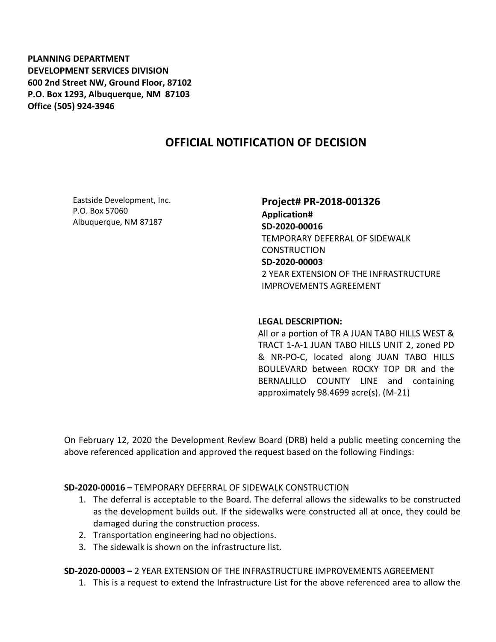**PLANNING DEPARTMENT DEVELOPMENT SERVICES DIVISION 600 2nd Street NW, Ground Floor, 87102 P.O. Box 1293, Albuquerque, NM 87103 Office (505) 924-3946** 

## **OFFICIAL NOTIFICATION OF DECISION**

Eastside Development, Inc. P.O. Box 57060 Albuquerque, NM 87187

**Project# PR-2018-001326 Application# SD-2020-00016** TEMPORARY DEFERRAL OF SIDEWALK **CONSTRUCTION SD-2020-00003** 2 YEAR EXTENSION OF THE INFRASTRUCTURE IMPROVEMENTS AGREEMENT

## **LEGAL DESCRIPTION:**

All or a portion of TR A JUAN TABO HILLS WEST & TRACT 1-A-1 JUAN TABO HILLS UNIT 2, zoned PD & NR-PO-C, located along JUAN TABO HILLS BOULEVARD between ROCKY TOP DR and the BERNALILLO COUNTY LINE and containing approximately 98.4699 acre(s). (M-21)

On February 12, 2020 the Development Review Board (DRB) held a public meeting concerning the above referenced application and approved the request based on the following Findings:

**SD-2020-00016 –** TEMPORARY DEFERRAL OF SIDEWALK CONSTRUCTION

- 1. The deferral is acceptable to the Board. The deferral allows the sidewalks to be constructed as the development builds out. If the sidewalks were constructed all at once, they could be damaged during the construction process.
- 2. Transportation engineering had no objections.
- 3. The sidewalk is shown on the infrastructure list.

**SD-2020-00003 –** 2 YEAR EXTENSION OF THE INFRASTRUCTURE IMPROVEMENTS AGREEMENT

1. This is a request to extend the Infrastructure List for the above referenced area to allow the